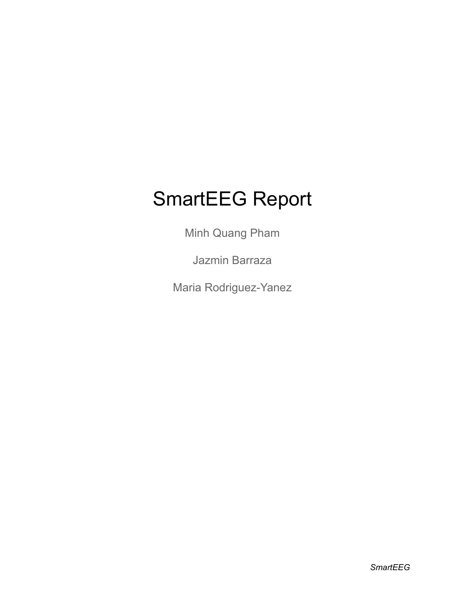# SmartEEG Report

Minh Quang Pham

Jazmin Barraza

Maria Rodriguez-Yanez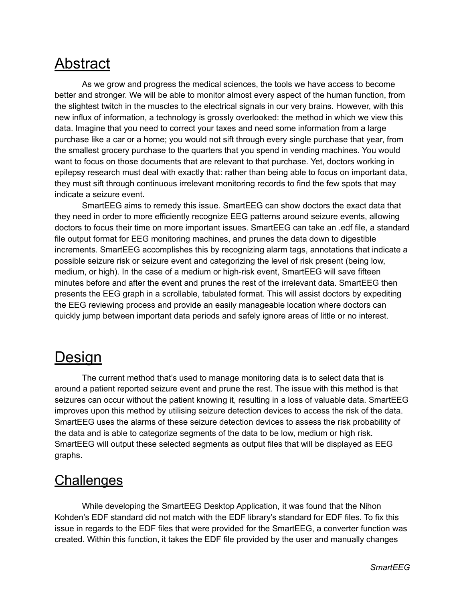## **Abstract**

As we grow and progress the medical sciences, the tools we have access to become better and stronger. We will be able to monitor almost every aspect of the human function, from the slightest twitch in the muscles to the electrical signals in our very brains. However, with this new influx of information, a technology is grossly overlooked: the method in which we view this data. Imagine that you need to correct your taxes and need some information from a large purchase like a car or a home; you would not sift through every single purchase that year, from the smallest grocery purchase to the quarters that you spend in vending machines. You would want to focus on those documents that are relevant to that purchase. Yet, doctors working in epilepsy research must deal with exactly that: rather than being able to focus on important data, they must sift through continuous irrelevant monitoring records to find the few spots that may indicate a seizure event.

SmartEEG aims to remedy this issue. SmartEEG can show doctors the exact data that they need in order to more efficiently recognize EEG patterns around seizure events, allowing doctors to focus their time on more important issues. SmartEEG can take an .edf file, a standard file output format for EEG monitoring machines, and prunes the data down to digestible increments. SmartEEG accomplishes this by recognizing alarm tags, annotations that indicate a possible seizure risk or seizure event and categorizing the level of risk present (being low, medium, or high). In the case of a medium or high-risk event, SmartEEG will save fifteen minutes before and after the event and prunes the rest of the irrelevant data. SmartEEG then presents the EEG graph in a scrollable, tabulated format. This will assist doctors by expediting the EEG reviewing process and provide an easily manageable location where doctors can quickly jump between important data periods and safely ignore areas of little or no interest.

## **Design**

The current method that's used to manage monitoring data is to select data that is around a patient reported seizure event and prune the rest. The issue with this method is that seizures can occur without the patient knowing it, resulting in a loss of valuable data. SmartEEG improves upon this method by utilising seizure detection devices to access the risk of the data. SmartEEG uses the alarms of these seizure detection devices to assess the risk probability of the data and is able to categorize segments of the data to be low, medium or high risk. SmartEEG will output these selected segments as output files that will be displayed as EEG graphs.

#### **Challenges**

While developing the SmartEEG Desktop Application, it was found that the Nihon Kohden's EDF standard did not match with the EDF library's standard for EDF files. To fix this issue in regards to the EDF files that were provided for the SmartEEG, a converter function was created. Within this function, it takes the EDF file provided by the user and manually changes